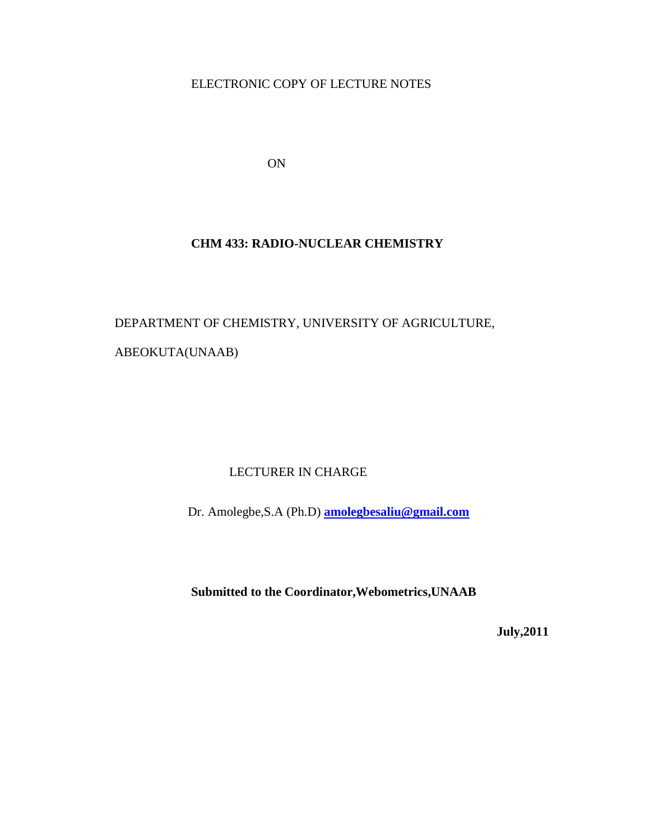ELECTRONIC COPY OF LECTURE NOTES

ON

### **CHM 433: RADIO-NUCLEAR CHEMISTRY**

DEPARTMENT OF CHEMISTRY, UNIVERSITY OF AGRICULTURE, ABEOKUTA(UNAAB)

## LECTURER IN CHARGE

Dr. Amolegbe,S.A (Ph.D) **[amolegbesaliu@gmail.com](mailto:amolegbesaliu@gmail.com)**

**Submitted to the Coordinator,Webometrics,UNAAB**

**July,2011**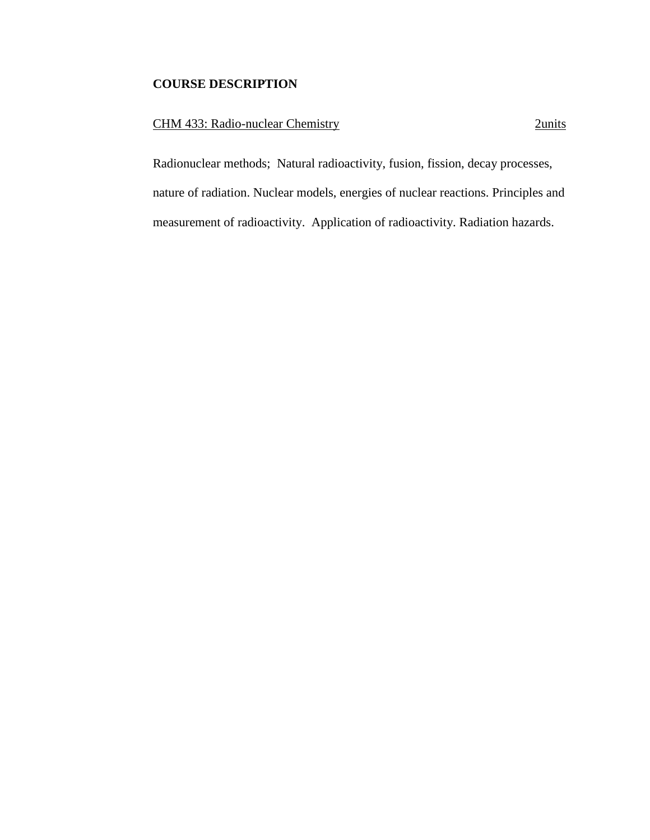## **COURSE DESCRIPTION**

### CHM 433: Radio-nuclear Chemistry 2units

Radionuclear methods; Natural radioactivity, fusion, fission, decay processes, nature of radiation. Nuclear models, energies of nuclear reactions. Principles and measurement of radioactivity. Application of radioactivity. Radiation hazards.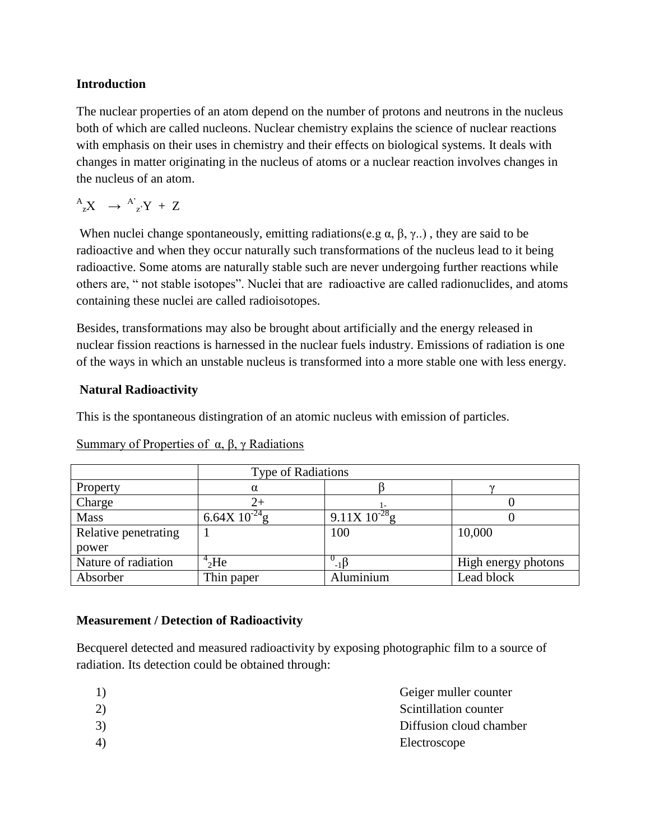#### **Introduction**

The nuclear properties of an atom depend on the number of protons and neutrons in the nucleus both of which are called nucleons. Nuclear chemistry explains the science of nuclear reactions with emphasis on their uses in chemistry and their effects on biological systems. It deals with changes in matter originating in the nucleus of atoms or a nuclear reaction involves changes in the nucleus of an atom.

 $A_{z}X \rightarrow A'_{z}Y + Z$ 

When nuclei change spontaneously, emitting radiations(e.g  $\alpha$ ,  $\beta$ ,  $\gamma$ ..), they are said to be radioactive and when they occur naturally such transformations of the nucleus lead to it being radioactive. Some atoms are naturally stable such are never undergoing further reactions while others are, " not stable isotopes". Nuclei that are radioactive are called radionuclides, and atoms containing these nuclei are called radioisotopes.

Besides, transformations may also be brought about artificially and the energy released in nuclear fission reactions is harnessed in the nuclear fuels industry. Emissions of radiation is one of the ways in which an unstable nucleus is transformed into a more stable one with less energy.

## **Natural Radioactivity**

This is the spontaneous distingration of an atomic nucleus with emission of particles.

|                      | Type of Radiations  |                    |                     |
|----------------------|---------------------|--------------------|---------------------|
| Property             |                     |                    | $\sim$              |
| Charge               |                     |                    |                     |
| <b>Mass</b>          | $6.64X\ 10^{-24}$ g | 9.11X $10^{-28}$ g |                     |
| Relative penetrating |                     | 100                | 10,000              |
| power                |                     |                    |                     |
| Nature of radiation  | 4 <sub>2</sub> He   | - 1                | High energy photons |
| Absorber             | Thin paper          | Aluminium          | Lead block          |

Summary of Properties of α, β, γ Radiations

## **Measurement / Detection of Radioactivity**

Becquerel detected and measured radioactivity by exposing photographic film to a source of radiation. Its detection could be obtained through:

| 1)                           | Geiger muller counter   |
|------------------------------|-------------------------|
| 2)                           | Scintillation counter   |
| 3)                           | Diffusion cloud chamber |
| $\left( \frac{1}{2} \right)$ | Electroscope            |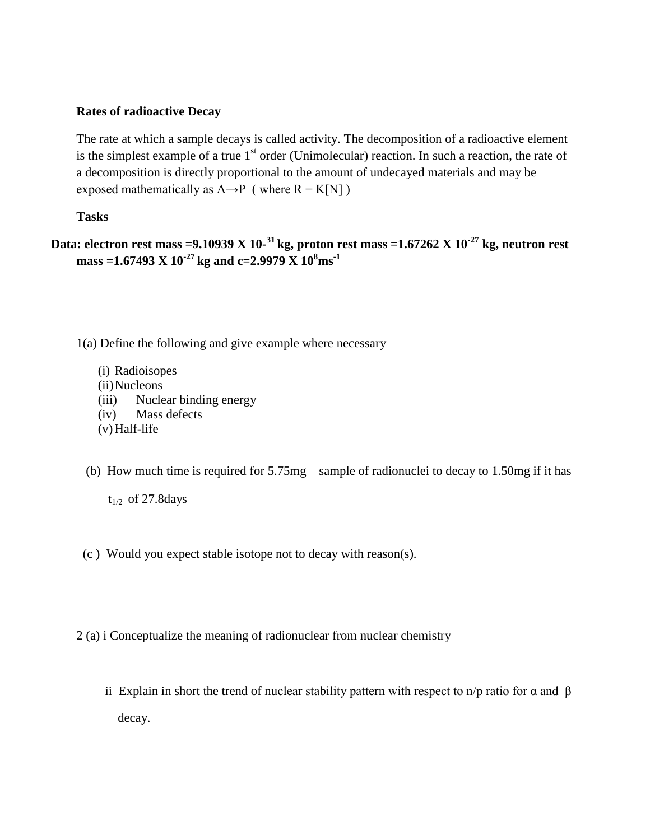#### **Rates of radioactive Decay**

The rate at which a sample decays is called activity. The decomposition of a radioactive element is the simplest example of a true  $1<sup>st</sup>$  order (Unimolecular) reaction. In such a reaction, the rate of a decomposition is directly proportional to the amount of undecayed materials and may be exposed mathematically as  $A \rightarrow P$  ( where  $R = K[N]$  )

#### **Tasks**

# **Data: electron rest mass =9.10939 X 10- <sup>31</sup>kg, proton rest mass =1.67262 X 10-27 kg, neutron rest mass =1.67493 X 10-27 kg and c=2.9979 X 10<sup>8</sup>ms-1**

1(a) Define the following and give example where necessary

- (i) Radioisopes
- (ii)Nucleons
- (iii) Nuclear binding energy
- (iv) Mass defects
- $(v)$  Half-life
- (b) How much time is required for 5.75mg sample of radionuclei to decay to 1.50mg if it has

- (c ) Would you expect stable isotope not to decay with reason(s).
- 2 (a) i Conceptualize the meaning of radionuclear from nuclear chemistry
	- ii Explain in short the trend of nuclear stability pattern with respect to n/p ratio for  $\alpha$  and  $\beta$ decay.

 $t_{1/2}$  of 27.8 days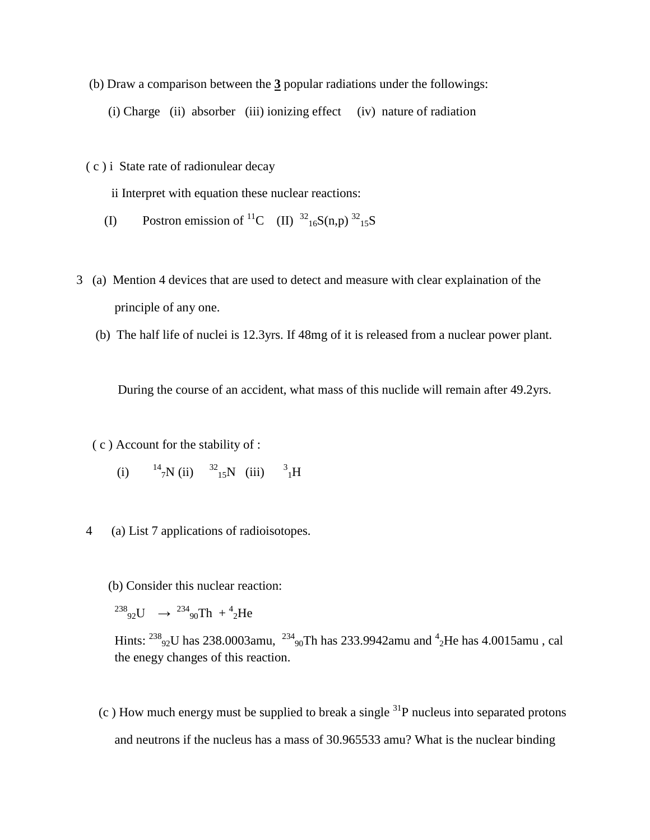- (b) Draw a comparison between the **3** popular radiations under the followings:
	- (i) Charge (ii) absorber (iii) ionizing effect (iv) nature of radiation
- ( c ) i State rate of radionulear decay

ii Interpret with equation these nuclear reactions:

- (I) Postron emission of <sup>11</sup>C (II)  ${}^{32}{}_{16}S(n,p) {}^{32}{}_{15}S$
- 3 (a) Mention 4 devices that are used to detect and measure with clear explaination of the principle of any one.
	- (b) The half life of nuclei is 12.3yrs. If 48mg of it is released from a nuclear power plant.

During the course of an accident, what mass of this nuclide will remain after 49.2yrs.

( c ) Account for the stability of :

- $(i)$  $7N$  (ii)  $32^{15}N$  (iii)  $3^{14}H$
- 4 (a) List 7 applications of radioisotopes.
	- (b) Consider this nuclear reaction:
	- $^{238}$ <sub>92</sub>U  $\rightarrow$   $^{234}$ <sub>90</sub>Th + <sup>4</sup><sub>2</sub>He

Hints:  $^{238}$ <sub>92</sub>U has 238.0003amu,  $^{234}$ <sub>90</sub>Th has 233.9942amu and  $^{4}$ <sub>2</sub>He has 4.0015amu, cal the enegy changes of this reaction.

(c) How much energy must be supplied to break a single  $^{31}P$  nucleus into separated protons and neutrons if the nucleus has a mass of 30.965533 amu? What is the nuclear binding